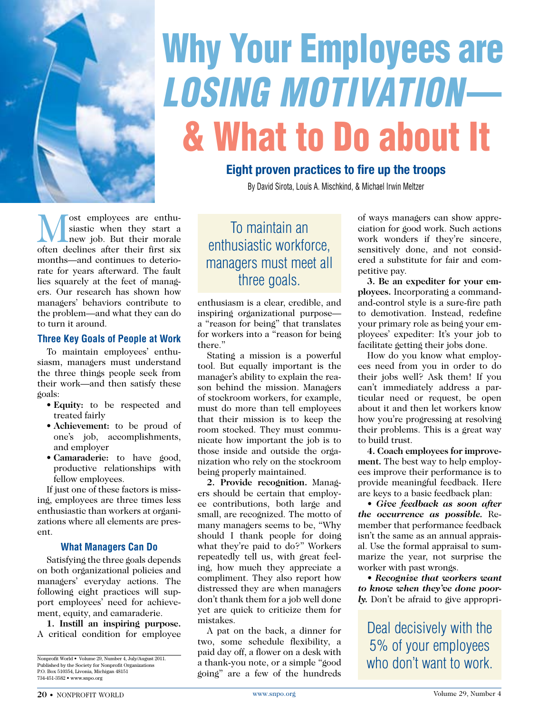

# Why Your Employees are *Losing Motivation*— & What to Do about It

### **Eight proven practices to fire up the troops**

By David Sirota, Louis A. Mischkind, & Michael Irwin Meltzer

ost employees are enthusiastic when they start a new job. But their morale often declines after their first six months—and continues to deteriorate for years afterward. The fault lies squarely at the feet of managers. Our research has shown how managers' behaviors contribute to the problem—and what they can do to turn it around.

#### **Three Key Goals of People at Work**

To maintain employees' enthusiasm, managers must understand the three things people seek from their work—and then satisfy these goals:

- **Equity:** to be respected and treated fairly
- **Achievement:** to be proud of one's job, accomplishments, and employer
- **Camaraderie:** to have good, productive relationships with fellow employees.

If just one of these factors is missing, employees are three times less enthusiastic than workers at organizations where all elements are present.

#### **What Managers Can Do**

Satisfying the three goals depends on both organizational policies and managers' everyday actions. The following eight practices will support employees' need for achievement, equity, and camaraderie.

**1. Instill an inspiring purpose.** A critical condition for employee

## To maintain an enthusiastic workforce, managers must meet all three goals.

enthusiasm is a clear, credible, and inspiring organizational purpose a "reason for being" that translates for workers into a "reason for being there."

Stating a mission is a powerful tool. But equally important is the manager's ability to explain the reason behind the mission. Managers of stockroom workers, for example, must do more than tell employees that their mission is to keep the room stocked. They must communicate how important the job is to those inside and outside the organization who rely on the stockroom being properly maintained.

**2. Provide recognition.** Managers should be certain that employee contributions, both large and small, are recognized. The motto of many managers seems to be, "Why should I thank people for doing what they're paid to do?" Workers repeatedly tell us, with great feeling, how much they appreciate a compliment. They also report how distressed they are when managers don't thank them for a job well done yet are quick to criticize them for mistakes.

A pat on the back, a dinner for two, some schedule flexibility, a paid day off, a flower on a desk with a thank-you note, or a simple "good going" are a few of the hundreds

of ways managers can show appreciation for good work. Such actions work wonders if they're sincere, sensitively done, and not considered a substitute for fair and competitive pay.

**3. Be an expediter for your employees.** Incorporating a commandand-control style is a sure-fire path to demotivation. Instead, redefine your primary role as being your employees' expediter: It's your job to facilitate getting their jobs done.

How do you know what employees need from you in order to do their jobs well? Ask them! If you can't immediately address a particular need or request, be open about it and then let workers know how you're progressing at resolving their problems. This is a great way to build trust.

**4. Coach employees for improvement.** The best way to help employees improve their performance is to provide meaningful feedback. Here are keys to a basic feedback plan:

*• Give feedback as soon after the occurrence as possible.* Remember that performance feedback isn't the same as an annual appraisal. Use the formal appraisal to summarize the year, not surprise the worker with past wrongs.

*• Recognize that workers want to know when they've done poorly.* Don't be afraid to give appropri-

Deal decisively with the 5% of your employees who don't want to work.

Nonprofit World • Volume 29, Number 4, July/August 2011. Published by the Society for Nonprofit Organizations P.O. Box 510354, Livonia, Michigan 48151 734-451-3582 • www.snpo.org